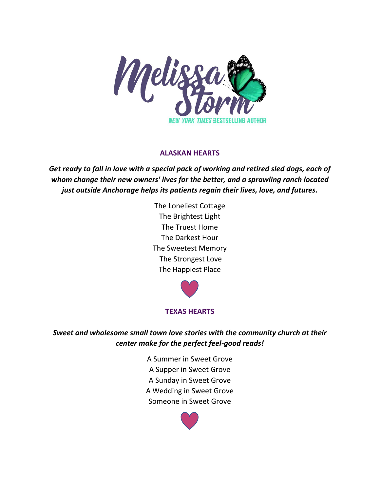

# **ALASKAN HEARTS**

*Get ready to fall in love with a special pack of working and retired sled dogs, each of whom change their new owners' lives for the better, and a sprawling ranch located just outside Anchorage helps its patients regain their lives, love, and futures.*

> The Loneliest Cottage The Brightest Light The Truest Home The Darkest Hour The Sweetest Memory The Strongest Love The Happiest Place



# **TEXAS HEARTS**

*Sweet and wholesome small town love stories with the community church at their center make for the perfect feel-good reads!*

> A Summer in Sweet Grove A Supper in Sweet Grove A Sunday in Sweet Grove A Wedding in Sweet Grove Someone in Sweet Grove

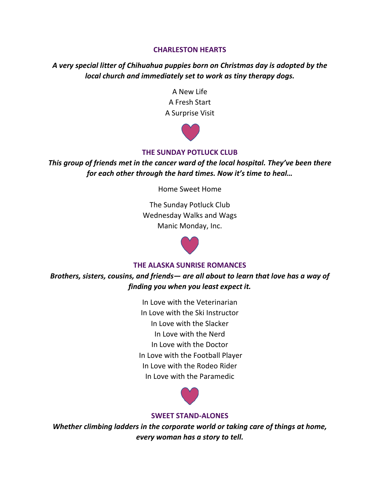### **CHARLESTON HEARTS**

*A very special litter of Chihuahua puppies born on Christmas day is adopted by the local church and immediately set to work as tiny therapy dogs.* 

> A New Life A Fresh Start A Surprise Visit



## **THE SUNDAY POTLUCK CLUB**

*This group of friends met in the cancer ward of the local hospital. They've been there for each other through the hard times. Now it's time to heal…*

Home Sweet Home

The Sunday Potluck Club Wednesday Walks and Wags Manic Monday, Inc.



#### **THE ALASKA SUNRISE ROMANCES**

*Brothers, sisters, cousins, and friends— are all about to learn that love has a way of finding you when you least expect it.* 

> In Love with the Veterinarian In Love with the Ski Instructor In Love with the Slacker In Love with the Nerd In Love with the Doctor In Love with the Football Player In Love with the Rodeo Rider In Love with the Paramedic



#### **SWEET STAND-ALONES**

*Whether climbing ladders in the corporate world or taking care of things at home, every woman has a story to tell.*